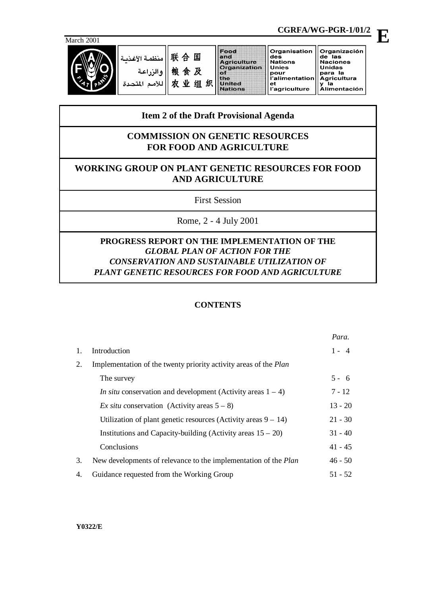

联合国 منظمة الأغذر 粮食及 والزراعة 农业组织 للأمم المتحدة

Food and<br>Agriculture<br>Organization  $\frac{5}{10}$ United Nations

Organisation Organización des<br>Nations de las<br>Naciones **Unidas** once<br>pour<br>l'alimentation para la Agricultura<br>y la<br>Alimentación ut<br>l'agriculture

Unies

et

*Para.*

# **Item 2 of the Draft Provisional Agenda**

# **COMMISSION ON GENETIC RESOURCES FOR FOOD AND AGRICULTURE**

# **WORKING GROUP ON PLANT GENETIC RESOURCES FOR FOOD AND AGRICULTURE**

First Session

Rome, 2 - 4 July 2001

# **PROGRESS REPORT ON THE IMPLEMENTATION OF THE** *GLOBAL PLAN OF ACTION FOR THE CONSERVATION AND SUSTAINABLE UTILIZATION OF PLANT GENETIC RESOURCES FOR FOOD AND AGRICULTURE*

# **CONTENTS**

|    |                                                                         | rara.     |
|----|-------------------------------------------------------------------------|-----------|
| 1. | Introduction                                                            | $1 - 4$   |
| 2. | Implementation of the twenty priority activity areas of the <i>Plan</i> |           |
|    | The survey                                                              | $5 - 6$   |
|    | <i>In situ</i> conservation and development (Activity areas $1 - 4$ )   | $7 - 12$  |
|    | Ex situ conservation (Activity areas $5 - 8$ )                          | $13 - 20$ |
|    | Utilization of plant genetic resources (Activity areas $9 - 14$ )       | $21 - 30$ |
|    | Institutions and Capacity-building (Activity areas $15 - 20$ )          | $31 - 40$ |
|    | Conclusions                                                             | $41 - 45$ |
| 3. | New developments of relevance to the implementation of the <i>Plan</i>  | $46 - 50$ |
| 4. | Guidance requested from the Working Group                               | $51 - 52$ |

**CGRFA/WG-PGR-1/01/2**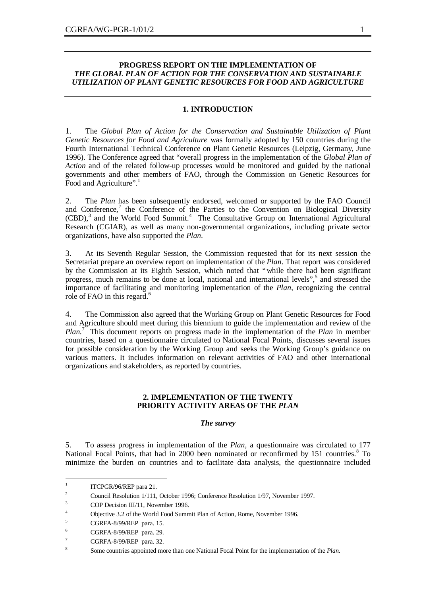## **PROGRESS REPORT ON THE IMPLEMENTATION OF** *THE GLOBAL PLAN OF ACTION FOR THE CONSERVATION AND SUSTAINABLE UTILIZATION OF PLANT GENETIC RESOURCES FOR FOOD AND AGRICULTURE*

### **1. INTRODUCTION**

1. The *Global Plan of Action for the Conservation and Sustainable Utilization of Plant Genetic Resources for Food and Agriculture* was formally adopted by 150 countries during the Fourth International Technical Conference on Plant Genetic Resources (Leipzig, Germany, June 1996). The Conference agreed that "overall progress in the implementation of the *Global Plan of Action* and of the related follow-up processes would be monitored and guided by the national governments and other members of FAO, through the Commission on Genetic Resources for Food and Agriculture".<sup>1</sup>

2. The *Plan* has been subsequently endorsed, welcomed or supported by the FAO Council and Conference,<sup>2</sup> the Conference of the Parties to the Convention on Biological Diversity  $(CBD)$ ,<sup>3</sup> and the World Food Summit.<sup>4</sup> The Consultative Group on International Agricultural Research (CGIAR), as well as many non-governmental organizations, including private sector organizations, have also supported the *Plan*.

3. At its Seventh Regular Session, the Commission requested that for its next session the Secretariat prepare an overview report on implementation of the *Plan*. That report was considered by the Commission at its Eighth Session, which noted that "while there had been significant progress, much remains to be done at local, national and international levels",<sup>5</sup> and stressed the importance of facilitating and monitoring implementation of the *Plan*, recognizing the central role of FAO in this regard.<sup>6</sup>

4. The Commission also agreed that the Working Group on Plant Genetic Resources for Food and Agriculture should meet during this biennium to guide the implementation and review of the *Plan.*<sup>7</sup> This document reports on progress made in the implementation of the *Plan* in member countries, based on a questionnaire circulated to National Focal Points, discusses several issues for possible consideration by the Working Group and seeks the Working Group's guidance on various matters. It includes information on relevant activities of FAO and other international organizations and stakeholders, as reported by countries.

## **2. IMPLEMENTATION OF THE TWENTY PRIORITY ACTIVITY AREAS OF THE** *PLAN*

#### *The survey*

5. To assess progress in implementation of the *Plan,* a questionnaire was circulated to 177 National Focal Points, that had in 2000 been nominated or reconfirmed by 151 countries.<sup>8</sup> To minimize the burden on countries and to facilitate data analysis, the questionnaire included

 $\frac{1}{1}$ ITCPGR/96/REP para 21.

<sup>&</sup>lt;sup>2</sup> Council Resolution 1/111, October 1996; Conference Resolution 1/97, November 1997.

<sup>&</sup>lt;sup>3</sup> COP Decision III/11, November 1996.

<sup>4</sup> Objective 3.2 of the World Food Summit Plan of Action, Rome, November 1996.

 $5$  CGRFA-8/99/REP para. 15.

<sup>&</sup>lt;sup>6</sup> CGRFA-8/99/REP para. 29.

CGRFA-8/99/REP para. 32.

<sup>8</sup> Some countries appointed more than one National Focal Point for the implementation of the *Plan.*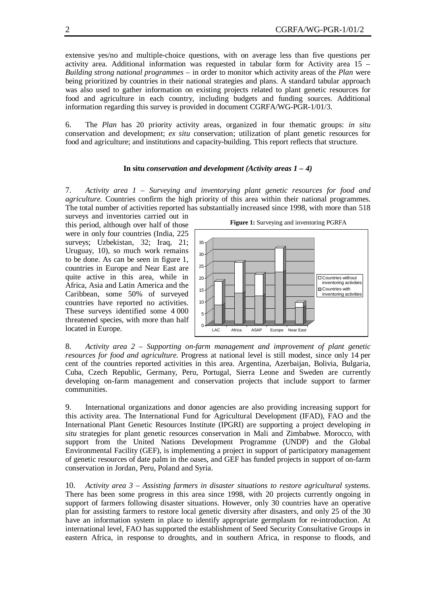extensive yes/no and multiple-choice questions, with on average less than five questions per activity area. Additional information was requested in tabular form for Activity area 15 – *Building strong national programmes* – in order to monitor which activity areas of the *Plan* were being prioritized by countries in their national strategies and plans. A standard tabular approach was also used to gather information on existing projects related to plant genetic resources for food and agriculture in each country, including budgets and funding sources. Additional information regarding this survey is provided in document CGRFA/WG-PGR-1/01/3.

6. The *Plan* has 20 priority activity areas, organized in four thematic groups: *in situ* conservation and development; *ex situ* conservation; utilization of plant genetic resources for food and agriculture; and institutions and capacity-building. This report reflects that structure.

#### **In situ** *conservation and development (Activity areas 1 – 4)*

7. *Activity area 1 – Surveying and inventorying plant genetic resources for food and agriculture.* Countries confirm the high priority of this area within their national programmes. The total number of activities reported has substantially increased since 1998, with more than 518

surveys and inventories carried out in this period, although over half of those were in only four countries (India, 225 surveys; Uzbekistan, 32; Iraq, 21; Uruguay, 10), so much work remains to be done. As can be seen in figure 1, countries in Europe and Near East are quite active in this area, while in Africa, Asia and Latin America and the Caribbean, some 50% of surveyed countries have reported no activities. These surveys identified some 4 000 threatened species, with more than half located in Europe.





8. *Activity area 2 – Supporting on-farm management and improvement of plant genetic resources for food and agriculture.* Progress at national level is still modest, since only 14 per cent of the countries reported activities in this area. Argentina, Azerbaijan, Bolivia, Bulgaria, Cuba, Czech Republic, Germany, Peru, Portugal, Sierra Leone and Sweden are currently developing on-farm management and conservation projects that include support to farmer communities.

9. International organizations and donor agencies are also providing increasing support for this activity area. The International Fund for Agricultural Development (IFAD), FAO and the International Plant Genetic Resources Institute (IPGRI) are supporting a project developing *in situ* strategies for plant genetic resources conservation in Mali and Zimbabwe. Morocco, with support from the United Nations Development Programme (UNDP) and the Global Environmental Facility (GEF), is implementing a project in support of participatory management of genetic resources of date palm in the oases, and GEF has funded projects in support of on-farm conservation in Jordan, Peru, Poland and Syria.

10. *Activity area 3 – Assisting farmers in disaster situations to restore agricultural systems.* There has been some progress in this area since 1998, with 20 projects currently ongoing in support of farmers following disaster situations. However, only 30 countries have an operative plan for assisting farmers to restore local genetic diversity after disasters, and only 25 of the 30 have an information system in place to identify appropriate germplasm for re-introduction. At international level, FAO has supported the establishment of Seed Security Consultative Groups in eastern Africa, in response to droughts, and in southern Africa, in response to floods, and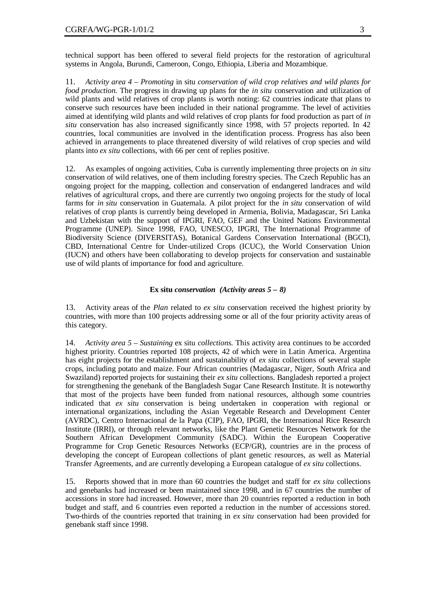technical support has been offered to several field projects for the restoration of agricultural systems in Angola, Burundi, Cameroon, Congo, Ethiopia, Liberia and Mozambique.

11. *Activity area 4 – Promoting* in situ *conservation of wild crop relatives and wild plants for food production.* The progress in drawing up plans for the *in situ* conservation and utilization of wild plants and wild relatives of crop plants is worth noting: 62 countries indicate that plans to conserve such resources have been included in their national programme. The level of activities aimed at identifying wild plants and wild relatives of crop plants for food production as part of *in situ* conservation has also increased significantly since 1998, with 57 projects reported. In 42 countries, local communities are involved in the identification process. Progress has also been achieved in arrangements to place threatened diversity of wild relatives of crop species and wild plants into *ex situ* collections, with 66 per cent of replies positive.

12. As examples of ongoing activities, Cuba is currently implementing three projects on *in situ* conservation of wild relatives, one of them including forestry species. The Czech Republic has an ongoing project for the mapping, collection and conservation of endangered landraces and wild relatives of agricultural crops, and there are currently two ongoing projects for the study of local farms for *in situ* conservation in Guatemala. A pilot project for the *in situ* conservation of wild relatives of crop plants is currently being developed in Armenia, Bolivia, Madagascar, Sri Lanka and Uzbekistan with the support of IPGRI, FAO, GEF and the United Nations Environmental Programme (UNEP). Since 1998, FAO, UNESCO, IPGRI, The International Programme of Biodiversity Science (DIVERSITAS), Botanical Gardens Conservation International (BGCI), CBD, International Centre for Under-utilized Crops (ICUC), the World Conservation Union (IUCN) and others have been collaborating to develop projects for conservation and sustainable use of wild plants of importance for food and agriculture.

### **Ex situ** *conservation (Activity areas 5 – 8)*

13. Activity areas of the *Plan* related to *ex situ* conservation received the highest priority by countries, with more than 100 projects addressing some or all of the four priority activity areas of this category.

14. *Activity area 5 – Sustaining* ex situ *collections.* This activity area continues to be accorded highest priority. Countries reported 108 projects, 42 of which were in Latin America. Argentina has eight projects for the establishment and sustainability of *ex situ* collections of several staple crops, including potato and maize. Four African countries (Madagascar, Niger, South Africa and Swaziland) reported projects for sustaining their *ex situ* collections. Bangladesh reported a project for strengthening the genebank of the Bangladesh Sugar Cane Research Institute. It is noteworthy that most of the projects have been funded from national resources, although some countries indicated that *ex situ* conservation is being undertaken in cooperation with regional or international organizations, including the Asian Vegetable Research and Development Center (AVRDC), Centro Internacional de la Papa (CIP), FAO, IPGRI, the International Rice Research Institute (IRRI), or through relevant networks, like the Plant Genetic Resources Network for the Southern African Development Community (SADC). Within the European Cooperative Programme for Crop Genetic Resources Networks (ECP/GR), countries are in the process of developing the concept of European collections of plant genetic resources, as well as Material Transfer Agreements, and are currently developing a European catalogue of *ex situ* collections.

15. Reports showed that in more than 60 countries the budget and staff for *ex situ* collections and genebanks had increased or been maintained since 1998, and in 67 countries the number of accessions in store had increased. However, more than 20 countries reported a reduction in both budget and staff, and 6 countries even reported a reduction in the number of accessions stored. Two-thirds of the countries reported that training in *ex situ* conservation had been provided for genebank staff since 1998.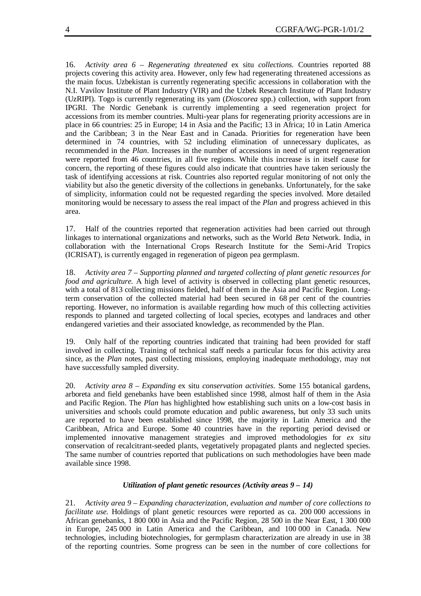16. *Activity area 6 – Regenerating threatened* ex situ *collections.* Countries reported 88 projects covering this activity area. However, only few had regenerating threatened accessions as the main focus. Uzbekistan is currently regenerating specific accessions in collaboration with the N.I. Vavilov Institute of Plant Industry (VIR) and the Uzbek Research Institute of Plant Industry (UzRIPI). Togo is currently regenerating its yam (*Dioscorea* spp.) collection, with support from IPGRI. The Nordic Genebank is currently implementing a seed regeneration project for accessions from its member countries. Multi-year plans for regenerating priority accessions are in place in 66 countries: 25 in Europe; 14 in Asia and the Pacific; 13 in Africa; 10 in Latin America and the Caribbean; 3 in the Near East and in Canada. Priorities for regeneration have been determined in 74 countries, with 52 including elimination of unnecessary duplicates, as recommended in the *Plan*. Increases in the number of accessions in need of urgent regeneration were reported from 46 countries, in all five regions. While this increase is in itself cause for concern, the reporting of these figures could also indicate that countries have taken seriously the task of identifying accessions at risk. Countries also reported regular monitoring of not only the viability but also the genetic diversity of the collections in genebanks. Unfortunately, for the sake of simplicity, information could not be requested regarding the species involved. More detailed monitoring would be necessary to assess the real impact of the *Plan* and progress achieved in this area.

17. Half of the countries reported that regeneration activities had been carried out through linkages to international organizations and networks, such as the World *Beta* Network. India, in collaboration with the International Crops Research Institute for the Semi-Arid Tropics (ICRISAT), is currently engaged in regeneration of pigeon pea germplasm.

18. *Activity area 7 – Supporting planned and targeted collecting of plant genetic resources for food and agriculture.* A high level of activity is observed in collecting plant genetic resources, with a total of 813 collecting missions fielded, half of them in the Asia and Pacific Region. Longterm conservation of the collected material had been secured in 68 per cent of the countries reporting. However, no information is available regarding how much of this collecting activities responds to planned and targeted collecting of local species, ecotypes and landraces and other endangered varieties and their associated knowledge, as recommended by the Plan.

19. Only half of the reporting countries indicated that training had been provided for staff involved in collecting. Training of technical staff needs a particular focus for this activity area since, as the *Plan* notes, past collecting missions, employing inadequate methodology, may not have successfully sampled diversity.

20. *Activity area 8 – Expanding* ex situ *conservation activities.* Some 155 botanical gardens, arboreta and field genebanks have been established since 1998, almost half of them in the Asia and Pacific Region. The *Plan* has highlighted how establishing such units on a low-cost basis in universities and schools could promote education and public awareness, but only 33 such units are reported to have been established since 1998, the majority in Latin America and the Caribbean, Africa and Europe. Some 40 countries have in the reporting period devised or implemented innovative management strategies and improved methodologies for *ex situ* conservation of recalcitrant-seeded plants, vegetatively propagated plants and neglected species. The same number of countries reported that publications on such methodologies have been made available since 1998.

### *Utilization of plant genetic resources (Activity areas 9 – 14)*

21. *Activity area 9 – Expanding characterization, evaluation and number of core collections to facilitate use.* Holdings of plant genetic resources were reported as ca. 200 000 accessions in African genebanks, 1 800 000 in Asia and the Pacific Region, 28 500 in the Near East, 1 300 000 in Europe, 245 000 in Latin America and the Caribbean, and 100 000 in Canada. New technologies, including biotechnologies, for germplasm characterization are already in use in 38 of the reporting countries. Some progress can be seen in the number of core collections for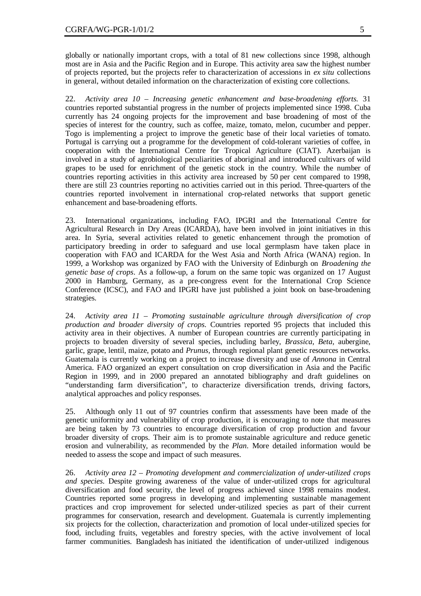globally or nationally important crops, with a total of 81 new collections since 1998, although most are in Asia and the Pacific Region and in Europe. This activity area saw the highest number of projects reported, but the projects refer to characterization of accessions in *ex situ* collections in general, without detailed information on the characterization of existing core collections.

22. *Activity area 10 – Increasing genetic enhancement and base-broadening efforts.* 31 countries reported substantial progress in the number of projects implemented since 1998. Cuba currently has 24 ongoing projects for the improvement and base broadening of most of the species of interest for the country, such as coffee, maize, tomato, melon, cucumber and pepper. Togo is implementing a project to improve the genetic base of their local varieties of tomato. Portugal is carrying out a programme for the development of cold-tolerant varieties of coffee, in cooperation with the International Centre for Tropical Agriculture (CIAT). Azerbaijan is involved in a study of agrobiological peculiarities of aboriginal and introduced cultivars of wild grapes to be used for enrichment of the genetic stock in the country. While the number of countries reporting activities in this activity area increased by 50 per cent compared to 1998, there are still 23 countries reporting no activities carried out in this period. Three-quarters of the countries reported involvement in international crop-related networks that support genetic enhancement and base-broadening efforts.

23. International organizations, including FAO, IPGRI and the International Centre for Agricultural Research in Dry Areas (ICARDA), have been involved in joint initiatives in this area. In Syria, several activities related to genetic enhancement through the promotion of participatory breeding in order to safeguard and use local germplasm have taken place in cooperation with FAO and ICARDA for the West Asia and North Africa (WANA) region. In 1999, a Workshop was organized by FAO with the University of Edinburgh on *Broadening the genetic base of crops*. As a follow-up, a forum on the same topic was organized on 17 August 2000 in Hamburg, Germany, as a pre-congress event for the International Crop Science Conference (ICSC), and FAO and IPGRI have just published a joint book on base-broadening strategies.

24. *Activity area 11 – Promoting sustainable agriculture through diversification of crop production and broader diversity of crops.* Countries reported 95 projects that included this activity area in their objectives. A number of European countries are currently participating in projects to broaden diversity of several species, including barley, *Brassica*, *Beta*, aubergine, garlic, grape, lentil, maize, potato and *Prunus,* through regional plant genetic resources networks. Guatemala is currently working on a project to increase diversity and use of *Annona* in Central America. FAO organized an expert consultation on crop diversification in Asia and the Pacific Region in 1999, and in 2000 prepared an annotated bibliography and draft guidelines on "understanding farm diversification", to characterize diversification trends, driving factors, analytical approaches and policy responses.

25. Although only 11 out of 97 countries confirm that assessments have been made of the genetic uniformity and vulnerability of crop production, it is encouraging to note that measures are being taken by 73 countries to encourage diversification of crop production and favour broader diversity of crops. Their aim is to promote sustainable agriculture and reduce genetic erosion and vulnerability, as recommended by the *Plan*. More detailed information would be needed to assess the scope and impact of such measures.

26. *Activity area 12 – Promoting development and commercialization of under-utilized crops and species.* Despite growing awareness of the value of under-utilized crops for agricultural diversification and food security, the level of progress achieved since 1998 remains modest. Countries reported some progress in developing and implementing sustainable management practices and crop improvement for selected under-utilized species as part of their current programmes for conservation, research and development. Guatemala is currently implementing six projects for the collection, characterization and promotion of local under-utilized species for food, including fruits, vegetables and forestry species, with the active involvement of local farmer communities. Bangladesh has initiated the identification of under-utilized indigenous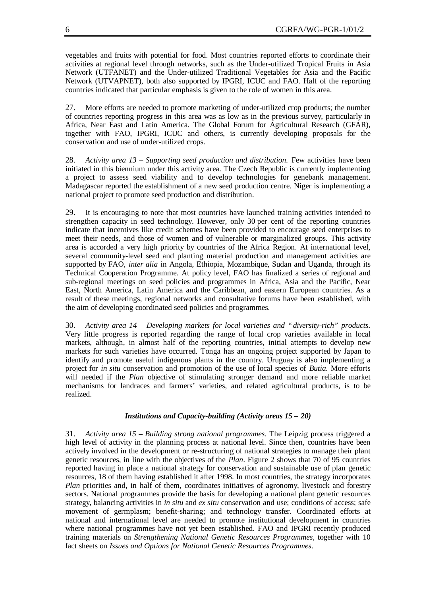vegetables and fruits with potential for food. Most countries reported efforts to coordinate their activities at regional level through networks, such as the Under-utilized Tropical Fruits in Asia Network (UTFANET) and the Under-utilized Traditional Vegetables for Asia and the Pacific Network (UTVAPNET), both also supported by IPGRI, ICUC and FAO. Half of the reporting countries indicated that particular emphasis is given to the role of women in this area.

27. More efforts are needed to promote marketing of under-utilized crop products; the number of countries reporting progress in this area was as low as in the previous survey, particularly in Africa, Near East and Latin America. The Global Forum for Agricultural Research (GFAR), together with FAO, IPGRI, ICUC and others, is currently developing proposals for the conservation and use of under-utilized crops.

28. *Activity area 13 – Supporting seed production and distribution.* Few activities have been initiated in this biennium under this activity area. The Czech Republic is currently implementing a project to assess seed viability and to develop technologies for genebank management. Madagascar reported the establishment of a new seed production centre. Niger is implementing a national project to promote seed production and distribution.

29. It is encouraging to note that most countries have launched training activities intended to strengthen capacity in seed technology. However, only 30 per cent of the reporting countries indicate that incentives like credit schemes have been provided to encourage seed enterprises to meet their needs, and those of women and of vulnerable or marginalized groups. This activity area is accorded a very high priority by countries of the Africa Region. At international level, several community-level seed and planting material production and management activities are supported by FAO, *inter alia* in Angola, Ethiopia, Mozambique, Sudan and Uganda, through its Technical Cooperation Programme. At policy level, FAO has finalized a series of regional and sub-regional meetings on seed policies and programmes in Africa, Asia and the Pacific, Near East, North America, Latin America and the Caribbean, and eastern European countries. As a result of these meetings, regional networks and consultative forums have been established, with the aim of developing coordinated seed policies and programmes.

30. *Activity area 14 – Developing markets for local varieties and "diversity-rich" products.* Very little progress is reported regarding the range of local crop varieties available in local markets, although, in almost half of the reporting countries, initial attempts to develop new markets for such varieties have occurred. Tonga has an ongoing project supported by Japan to identify and promote useful indigenous plants in the country. Uruguay is also implementing a project for *in situ* conservation and promotion of the use of local species of *Butia.* More efforts will needed if the *Plan* objective of stimulating stronger demand and more reliable market mechanisms for landraces and farmers' varieties, and related agricultural products, is to be realized.

### *Institutions and Capacity-building (Activity areas 15 – 20)*

31. *Activity area 15 – Building strong national programmes*. The Leipzig process triggered a high level of activity in the planning process at national level. Since then, countries have been actively involved in the development or re-structuring of national strategies to manage their plant genetic resources, in line with the objectives of the *Plan*. Figure 2 shows that 70 of 95 countries reported having in place a national strategy for conservation and sustainable use of plan genetic resources, 18 of them having established it after 1998. In most countries, the strategy incorporates *Plan* priorities and, in half of them, coordinates initiatives of agronomy, livestock and forestry sectors. National programmes provide the basis for developing a national plant genetic resources strategy, balancing activities in *in situ* and *ex situ* conservation and use; conditions of access; safe movement of germplasm; benefit-sharing; and technology transfer. Coordinated efforts at national and international level are needed to promote institutional development in countries where national programmes have not yet been established. FAO and IPGRI recently produced training materials on *Strengthening National Genetic Resources Programmes,* together with 10 fact sheets on *Issues and Options for National Genetic Resources Programmes*.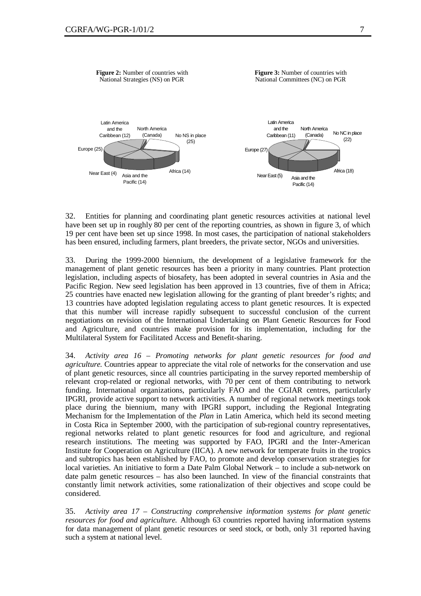

32. Entities for planning and coordinating plant genetic resources activities at national level have been set up in roughly 80 per cent of the reporting countries, as shown in figure 3, of which 19 per cent have been set up since 1998. In most cases, the participation of national stakeholders has been ensured, including farmers, plant breeders, the private sector, NGOs and universities.

33. During the 1999-2000 biennium, the development of a legislative framework for the management of plant genetic resources has been a priority in many countries. Plant protection legislation, including aspects of biosafety, has been adopted in several countries in Asia and the Pacific Region. New seed legislation has been approved in 13 countries, five of them in Africa; 25 countries have enacted new legislation allowing for the granting of plant breeder's rights; and 13 countries have adopted legislation regulating access to plant genetic resources. It is expected that this number will increase rapidly subsequent to successful conclusion of the current negotiations on revision of the International Undertaking on Plant Genetic Resources for Food and Agriculture, and countries make provision for its implementation, including for the Multilateral System for Facilitated Access and Benefit-sharing.

34. *Activity area 16 – Promoting networks for plant genetic resources for food and agriculture.* Countries appear to appreciate the vital role of networks for the conservation and use of plant genetic resources, since all countries participating in the survey reported membership of relevant crop-related or regional networks, with 70 per cent of them contributing to network funding. International organizations, particularly FAO and the CGIAR centres, particularly IPGRI, provide active support to network activities. A number of regional network meetings took place during the biennium, many with IPGRI support, including the Regional Integrating Mechanism for the Implementation of the *Plan* in Latin America, which held its second meeting in Costa Rica in September 2000, with the participation of sub-regional country representatives, regional networks related to plant genetic resources for food and agriculture, and regional research institutions. The meeting was supported by FAO, IPGRI and the Inter-American Institute for Cooperation on Agriculture (IICA). A new network for temperate fruits in the tropics and subtropics has been established by FAO, to promote and develop conservation strategies for local varieties. An initiative to form a Date Palm Global Network – to include a sub-network on date palm genetic resources – has also been launched. In view of the financial constraints that constantly limit network activities, some rationalization of their objectives and scope could be considered.

35. *Activity area 17 – Constructing comprehensive information systems for plant genetic resources for food and agriculture.* Although 63 countries reported having information systems for data management of plant genetic resources or seed stock, or both, only 31 reported having such a system at national level.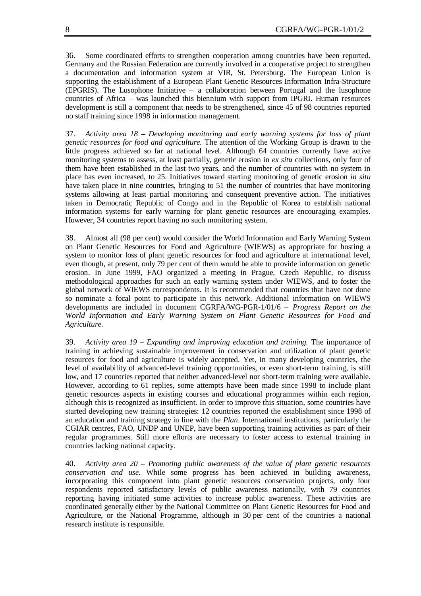36. Some coordinated efforts to strengthen cooperation among countries have been reported. Germany and the Russian Federation are currently involved in a cooperative project to strengthen a documentation and information system at VIR, St. Petersburg. The European Union is supporting the establishment of a European Plant Genetic Resources Information Infra-Structure (EPGRIS). The Lusophone Initiative – a collaboration between Portugal and the lusophone countries of Africa – was launched this biennium with support from IPGRI. Human resources development is still a component that needs to be strengthened, since 45 of 98 countries reported no staff training since 1998 in information management.

37. *Activity area 18 – Developing monitoring and early warning systems for loss of plant genetic resources for food and agriculture.* The attention of the Working Group is drawn to the little progress achieved so far at national level. Although 64 countries currently have active monitoring systems to assess, at least partially, genetic erosion in *ex situ* collections, only four of them have been established in the last two years, and the number of countries with no system in place has even increased, to 25. Initiatives toward starting monitoring of genetic erosion *in situ* have taken place in nine countries, bringing to 51 the number of countries that have monitoring systems allowing at least partial monitoring and consequent preventive action. The initiatives taken in Democratic Republic of Congo and in the Republic of Korea to establish national information systems for early warning for plant genetic resources are encouraging examples. However, 34 countries report having no such monitoring system.

38. Almost all (98 per cent) would consider the World Information and Early Warning System on Plant Genetic Resources for Food and Agriculture (WIEWS) as appropriate for hosting a system to monitor loss of plant genetic resources for food and agriculture at international level, even though, at present, only 79 per cent of them would be able to provide information on genetic erosion. In June 1999, FAO organized a meeting in Prague, Czech Republic, to discuss methodological approaches for such an early warning system under WIEWS, and to foster the global network of WIEWS correspondents. It is recommended that countries that have not done so nominate a focal point to participate in this network. Additional information on WIEWS developments are included in document CGRFA/WG-PGR-1/01/6 – *Progress Report on the World Information and Early Warning System on Plant Genetic Resources for Food and Agriculture.*

39. *Activity area 19 – Expanding and improving education and training.* The importance of training in achieving sustainable improvement in conservation and utilization of plant genetic resources for food and agriculture is widely accepted. Yet, in many developing countries, the level of availability of advanced-level training opportunities, or even short-term training, is still low, and 17 countries reported that neither advanced-level nor short-term training were available. However, according to 61 replies, some attempts have been made since 1998 to include plant genetic resources aspects in existing courses and educational programmes within each region, although this is recognized as insufficient. In order to improve this situation, some countries have started developing new training strategies: 12 countries reported the establishment since 1998 of an education and training strategy in line with the *Plan*. International institutions, particularly the CGIAR centres, FAO, UNDP and UNEP, have been supporting training activities as part of their regular programmes. Still more efforts are necessary to foster access to external training in countries lacking national capacity.

40. *Activity area 20 – Promoting public awareness of the value of plant genetic resources conservation and use.* While some progress has been achieved in building awareness, incorporating this component into plant genetic resources conservation projects, only four respondents reported satisfactory levels of public awareness nationally, with 79 countries reporting having initiated some activities to increase public awareness. These activities are coordinated generally either by the National Committee on Plant Genetic Resources for Food and Agriculture, or the National Programme, although in 30 per cent of the countries a national research institute is responsible.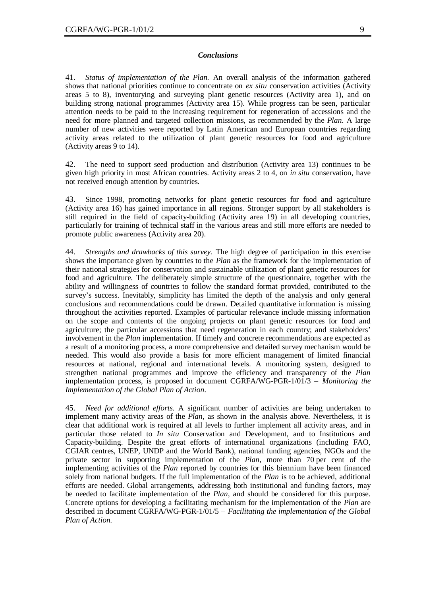### *Conclusions*

41. *Status of implementation of the Plan.* An overall analysis of the information gathered shows that national priorities continue to concentrate on *ex situ* conservation activities (Activity areas 5 to 8), inventorying and surveying plant genetic resources (Activity area 1), and on building strong national programmes (Activity area 15). While progress can be seen, particular attention needs to be paid to the increasing requirement for regeneration of accessions and the need for more planned and targeted collection missions, as recommended by the *Plan*. A large number of new activities were reported by Latin American and European countries regarding activity areas related to the utilization of plant genetic resources for food and agriculture (Activity areas 9 to 14).

42. The need to support seed production and distribution (Activity area 13) continues to be given high priority in most African countries. Activity areas 2 to 4, on *in situ* conservation, have not received enough attention by countries.

43. Since 1998, promoting networks for plant genetic resources for food and agriculture (Activity area 16) has gained importance in all regions. Stronger support by all stakeholders is still required in the field of capacity-building (Activity area 19) in all developing countries, particularly for training of technical staff in the various areas and still more efforts are needed to promote public awareness (Activity area 20).

44. *Strengths and drawbacks of this survey.* The high degree of participation in this exercise shows the importance given by countries to the *Plan* as the framework for the implementation of their national strategies for conservation and sustainable utilization of plant genetic resources for food and agriculture. The deliberately simple structure of the questionnaire, together with the ability and willingness of countries to follow the standard format provided, contributed to the survey's success. Inevitably, simplicity has limited the depth of the analysis and only general conclusions and recommendations could be drawn. Detailed quantitative information is missing throughout the activities reported. Examples of particular relevance include missing information on the scope and contents of the ongoing projects on plant genetic resources for food and agriculture; the particular accessions that need regeneration in each country; and stakeholders' involvement in the *Plan* implementation. If timely and concrete recommendations are expected as a result of a monitoring process, a more comprehensive and detailed survey mechanism would be needed. This would also provide a basis for more efficient management of limited financial resources at national, regional and international levels. A monitoring system, designed to strengthen national programmes and improve the efficiency and transparency of the *Plan* implementation process, is proposed in document CGRFA/WG-PGR-1/01/3 – *Monitoring the Implementation of the Global Plan of Action*.

45. *Need for additional efforts.* A significant number of activities are being undertaken to implement many activity areas of the *Plan*, as shown in the analysis above. Nevertheless, it is clear that additional work is required at all levels to further implement all activity areas, and in particular those related to *In situ* Conservation and Development, and to Institutions and Capacity-building. Despite the great efforts of international organizations (including FAO, CGIAR centres, UNEP, UNDP and the World Bank), national funding agencies, NGOs and the private sector in supporting implementation of the *Plan*, more than 70 per cent of the implementing activities of the *Plan* reported by countries for this biennium have been financed solely from national budgets. If the full implementation of the *Plan* is to be achieved, additional efforts are needed. Global arrangements, addressing both institutional and funding factors, may be needed to facilitate implementation of the *Plan,* and should be considered for this purpose. Concrete options for developing a facilitating mechanism for the implementation of the *Plan* are described in document CGRFA/WG-PGR-1/01/5 – *Facilitating the implementation of the Global Plan of Action.*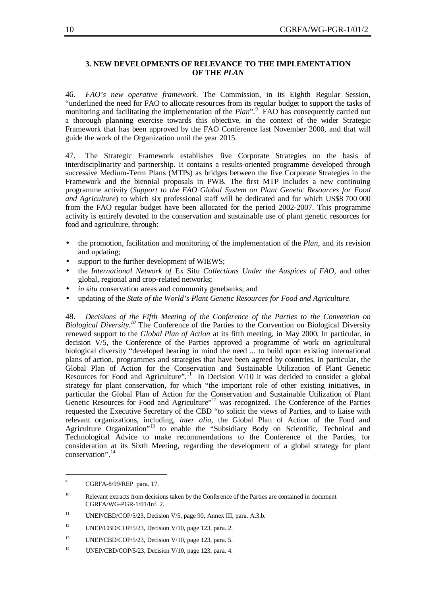## **3. NEW DEVELOPMENTS OF RELEVANCE TO THE IMPLEMENTATION OF THE** *PLAN*

46. *FAO's new operative framework*. The Commission, in its Eighth Regular Session, "underlined the need for FAO to allocate resources from its regular budget to support the tasks of monitoring and facilitating the implementation of the *Plan*".<sup>9</sup> FAO has consequently carried out a thorough planning exercise towards this objective, in the context of the wider Strategic Framework that has been approved by the FAO Conference last November 2000, and that will guide the work of the Organization until the year 2015.

47. The Strategic Framework establishes five Corporate Strategies on the basis of interdisciplinarity and partnership. It contains a results-oriented programme developed through successive Medium-Term Plans (MTPs) as bridges between the five Corporate Strategies in the Framework and the biennial proposals in PWB. The first MTP includes a new continuing programme activity (*Support to the FAO Global System on Plant Genetic Resources for Food and Agriculture*) to which six professional staff will be dedicated and for which US\$8 700 000 from the FAO regular budget have been allocated for the period 2002-2007. This programme activity is entirely devoted to the conservation and sustainable use of plant genetic resources for food and agriculture, through:

- the promotion, facilitation and monitoring of the implementation of the *Plan*, and its revision and updating;
- support to the further development of WIEWS;
- the *International Network of* Ex Situ *Collections Under the Auspices of FAO,* and other global, regional and crop-related networks;
- in situ conservation areas and community genebanks; and
- updating of the *State of the World's Plant Genetic Resources for Food and Agriculture*.

48. *Decisions of the Fifth Meeting of the Conference of the Parties to the Convention on Biological Diversity.<sup>10</sup>* The Conference of the Parties to the Convention on Biological Diversity renewed support to the *Global Plan of Action* at its fifth meeting, in May 2000*.* In particular, in decision V/5, the Conference of the Parties approved a programme of work on agricultural biological diversity "developed bearing in mind the need ... to build upon existing international plans of action, programmes and strategies that have been agreed by countries, in particular, the Global Plan of Action for the Conservation and Sustainable Utilization of Plant Genetic Resources for Food and Agriculture".<sup>11</sup> In Decision V/10 it was decided to consider a global strategy for plant conservation, for which "the important role of other existing initiatives, in particular the Global Plan of Action for the Conservation and Sustainable Utilization of Plant Genetic Resources for Food and Agriculture"<sup>12</sup> was recognized. The Conference of the Parties requested the Executive Secretary of the CBD "to solicit the views of Parties, and to liaise with relevant organizations, including, *inter alia*, the Global Plan of Action of the Food and Agriculture Organization"<sup>13</sup> to enable the "Subsidiary Body on Scientific, Technical and Technological Advice to make recommendations to the Conference of the Parties, for consideration at its Sixth Meeting, regarding the development of a global strategy for plant conservation". 14

 $\overline{a}$ 

<sup>9</sup> CGRFA-8/99/REP para. 17.

<sup>&</sup>lt;sup>10</sup> Relevant extracts from decisions taken by the Conference of the Parties are contained in document CGRFA/WG-PGR-1/01/Inf. 2.

<sup>&</sup>lt;sup>11</sup> UNEP/CBD/COP/5/23, Decision V/5, page 90, Annex III, para. A.3.b.

<sup>&</sup>lt;sup>12</sup> UNEP/CBD/COP/5/23, Decision V/10, page 123, para. 2.

<sup>&</sup>lt;sup>13</sup> UNEP/CBD/COP/5/23, Decision V/10, page 123, para. 5.

<sup>&</sup>lt;sup>14</sup> UNEP/CBD/COP/5/23, Decision V/10, page 123, para. 4.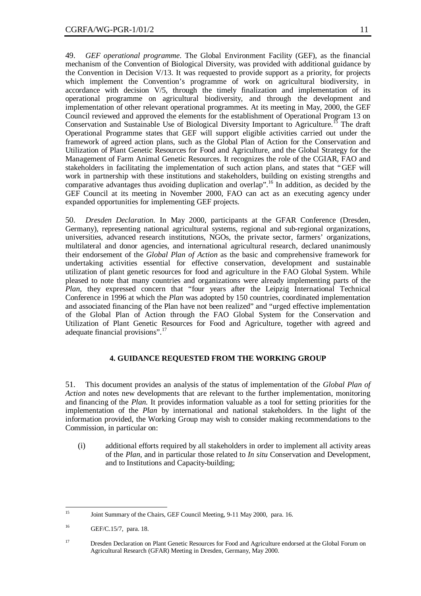49. *GEF operational programme*. The Global Environment Facility (GEF), as the financial mechanism of the Convention of Biological Diversity, was provided with additional guidance by the Convention in Decision V/13. It was requested to provide support as a priority, for projects which implement the Convention's programme of work on agricultural biodiversity, in accordance with decision V/5, through the timely finalization and implementation of its operational programme on agricultural biodiversity, and through the development and implementation of other relevant operational programmes. At its meeting in May, 2000, the GEF Council reviewed and approved the elements for the establishment of Operational Program 13 on Conservation and Sustainable Use of Biological Diversity Important to Agriculture.<sup>15</sup> The draft Operational Programme states that GEF will support eligible activities carried out under the framework of agreed action plans, such as the Global Plan of Action for the Conservation and Utilization of Plant Genetic Resources for Food and Agriculture, and the Global Strategy for the Management of Farm Animal Genetic Resources. It recognizes the role of the CGIAR, FAO and stakeholders in facilitating the implementation of such action plans, and states that "GEF will work in partnership with these institutions and stakeholders, building on existing strengths and comparative advantages thus avoiding duplication and overlap". <sup>16</sup> In addition, as decided by the GEF Council at its meeting in November 2000, FAO can act as an executing agency under expanded opportunities for implementing GEF projects.

50. *Dresden Declaration.* In May 2000, participants at the GFAR Conference (Dresden, Germany), representing national agricultural systems, regional and sub-regional organizations, universities, advanced research institutions, NGOs, the private sector, farmers' organizations, multilateral and donor agencies, and international agricultural research, declared unanimously their endorsement of the *Global Plan of Action* as the basic and comprehensive framework for undertaking activities essential for effective conservation, development and sustainable utilization of plant genetic resources for food and agriculture in the FAO Global System. While pleased to note that many countries and organizations were already implementing parts of the *Plan*, they expressed concern that "four years after the Leipzig International Technical Conference in 1996 at which the *Plan* was adopted by 150 countries, coordinated implementation and associated financing of the Plan have not been realized" and "urged effective implementation of the Global Plan of Action through the FAO Global System for the Conservation and Utilization of Plant Genetic Resources for Food and Agriculture, together with agreed and adequate financial provisions".<sup>17</sup>

# **4. GUIDANCE REQUESTED FROM THE WORKING GROUP**

51. This document provides an analysis of the status of implementation of the *Global Plan of Action* and notes new developments that are relevant to the further implementation, monitoring and financing of the *Plan.* It provides information valuable as a tool for setting priorities for the implementation of the *Plan* by international and national stakeholders. In the light of the information provided, the Working Group may wish to consider making recommendations to the Commission, in particular on:

(i) additional efforts required by all stakeholders in order to implement all activity areas of the *Plan*, and in particular those related to *In situ* Conservation and Development, and to Institutions and Capacity-building;

 $15$ <sup>15</sup> Joint Summary of the Chairs, GEF Council Meeting, 9-11 May 2000, para. 16.

<sup>16</sup> GEF/C.15/7, para. 18.

<sup>&</sup>lt;sup>17</sup> Dresden Declaration on Plant Genetic Resources for Food and Agriculture endorsed at the Global Forum on Agricultural Research (GFAR) Meeting in Dresden, Germany, May 2000.